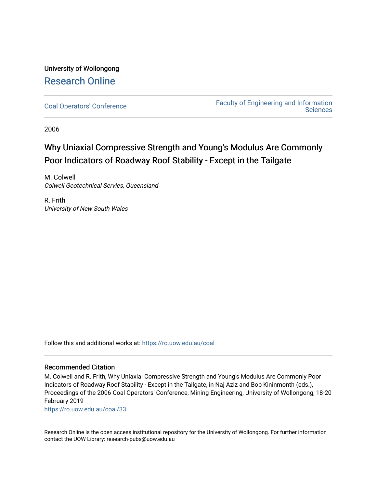# University of Wollongong [Research Online](https://ro.uow.edu.au/)

[Coal Operators' Conference](https://ro.uow.edu.au/coal) [Faculty of Engineering and Information](https://ro.uow.edu.au/eis)  **Sciences** 

2006

# Why Uniaxial Compressive Strength and Young's Modulus Are Commonly Poor Indicators of Roadway Roof Stability - Except in the Tailgate

M. Colwell Colwell Geotechnical Servies, Queensland

R. Frith University of New South Wales

Follow this and additional works at: [https://ro.uow.edu.au/coal](https://ro.uow.edu.au/coal?utm_source=ro.uow.edu.au%2Fcoal%2F33&utm_medium=PDF&utm_campaign=PDFCoverPages) 

# Recommended Citation

M. Colwell and R. Frith, Why Uniaxial Compressive Strength and Young's Modulus Are Commonly Poor Indicators of Roadway Roof Stability - Except in the Tailgate, in Naj Aziz and Bob Kininmonth (eds.), Proceedings of the 2006 Coal Operators' Conference, Mining Engineering, University of Wollongong, 18-20 February 2019

[https://ro.uow.edu.au/coal/33](https://ro.uow.edu.au/coal/33?utm_source=ro.uow.edu.au%2Fcoal%2F33&utm_medium=PDF&utm_campaign=PDFCoverPages) 

Research Online is the open access institutional repository for the University of Wollongong. For further information contact the UOW Library: research-pubs@uow.edu.au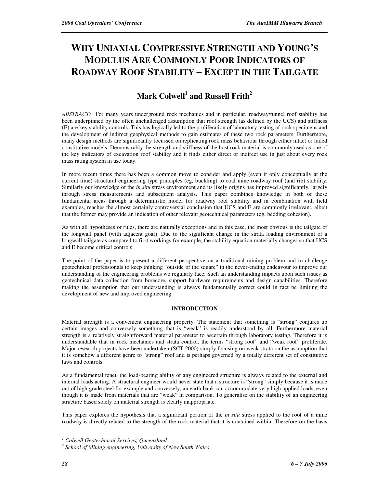# **WHY UNIAXIAL COMPRESSIVE STRENGTH AND YOUNG'S MODULUS ARE COMMONLY POOR INDICATORS OF ROADWAY ROOF STABILITY – EXCEPT IN THE TAILGATE**

# **Mark Colwell<sup>1</sup> and Russell Frith<sup>2</sup>**

*ABSTRACT:* For many years underground rock mechanics and in particular, roadway/tunnel roof stability has been underpinned by the often unchallenged assumption that roof strength (as defined by the UCS) and stiffness (E) are key stability controls. This has logically led to the proliferation of laboratory testing of rock specimens and the development of indirect geophysical methods to gain estimates of these two rock parameters. Furthermore, many design methods are significantly focussed on replicating rock mass behaviour through either intact or failed constitutive models. Demonstrably the strength and stiffness of the host rock material is commonly used as one of the key indicators of excavation roof stability and it finds either direct or indirect use in just about every rock mass rating system in use today.

In more recent times there has been a common move to consider and apply (even if only conceptually at the current time) structural engineering type principles (eg, buckling) to coal mine roadway roof (and rib) stability. Similarly our knowledge of the *in situ* stress environment and its likely origins has improved significantly, largely through stress measurements and subsequent analysis. This paper combines knowledge in both of these fundamental areas through a deterministic model for roadway roof stability and in combination with field examples, reaches the almost certainly controversial conclusion that UCS and E are commonly irrelevant, albeit that the former may provide an indication of other relevant geotechnical parameters (eg, bedding cohesion).

As with all hypotheses or rules, there are naturally exceptions and in this case, the most obvious is the tailgate of the longwall panel (with adjacent goaf). Due to the significant change in the strata loading environment of a longwall tailgate as compared to first workings for example, the stability equation materially changes so that UCS and E become critical controls.

The point of the paper is to present a different perspective on a traditional mining problem and to challenge geotechnical professionals to keep thinking "outside of the square" in the never-ending endeavour to improve our understanding of the engineering problems we regularly face. Such an understanding impacts upon such issues as geotechnical data collection from borecore, support hardware requirements and design capabilities. Therefore making the assumption that our understanding is always fundamentally correct could in fact be limiting the development of new and improved engineering.

# **INTRODUCTION**

Material strength is a convenient engineering property. The statement that something is "strong" conjures up certain images and conversely something that is "weak" is readily understood by all. Furthermore material strength is a relatively straightforward material parameter to ascertain through laboratory testing. Therefore it is understandable that in rock mechanics and strata control, the terms "strong roof" and "weak roof" proliferate. Major research projects have been undertaken (SCT 2000) simply focusing on weak strata on the assumption that it is somehow a different genre to "strong" roof and is perhaps governed by a totally different set of constitutive laws and controls.

As a fundamental tenet, the load-bearing ability of any engineered structure is always related to the external and internal loads acting. A structural engineer would never state that a structure is "strong" simply because it is made out of high grade steel for example and conversely, an earth bank can accommodate very high applied loads, even though it is made from materials that are "weak" in comparison. To generalise on the stability of an engineering structure based solely on material strength is clearly inappropriate.

This paper explores the hypothesis that a significant portion of the *in situ* stress applied to the roof of a mine roadway is directly related to the strength of the rock material that it is contained within. Therefore on the basis

 $\overline{a}$ *1 Colwell Geotechnical Services, Queensland* 

*<sup>2</sup> School of Mining engineering, University of New South Wales*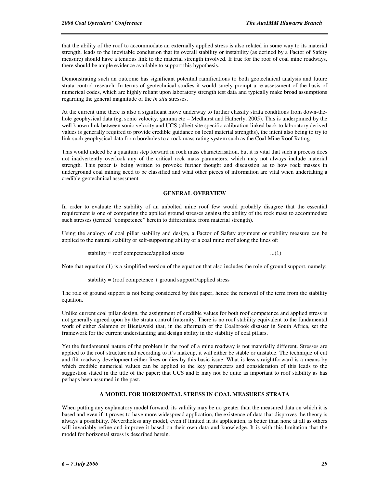that the ability of the roof to accommodate an externally applied stress is also related in some way to its material strength, leads to the inevitable conclusion that its overall stability or instability (as defined by a Factor of Safety measure) should have a tenuous link to the material strength involved. If true for the roof of coal mine roadways, there should be ample evidence available to support this hypothesis.

Demonstrating such an outcome has significant potential ramifications to both geotechnical analysis and future strata control research. In terms of geotechnical studies it would surely prompt a re-assessment of the basis of numerical codes, which are highly reliant upon laboratory strength test data and typically make broad assumptions regarding the general magnitude of the *in situ* stresses.

At the current time there is also a significant move underway to further classify strata conditions from down-thehole geophysical data (eg, sonic velocity, gamma etc – Medhurst and Hatherly, 2005). This is underpinned by the well known link between sonic velocity and UCS (albeit site specific calibration linked back to laboratory derived values is generally required to provide credible guidance on local material strengths), the intent also being to try to link such geophysical data from boreholes to a rock mass rating system such as the Coal Mine Roof Rating.

This would indeed be a quantum step forward in rock mass characterisation, but it is vital that such a process does not inadvertently overlook any of the critical rock mass parameters, which may not always include material strength. This paper is being written to provoke further thought and discussion as to how rock masses in underground coal mining need to be classified and what other pieces of information are vital when undertaking a credible geotechnical assessment.

#### **GENERAL OVERVIEW**

In order to evaluate the stability of an unbolted mine roof few would probably disagree that the essential requirement is one of comparing the applied ground stresses against the ability of the rock mass to accommodate such stresses (termed "competence" herein to differentiate from material strength).

Using the analogy of coal pillar stability and design, a Factor of Safety argument or stability measure can be applied to the natural stability or self-supporting ability of a coal mine roof along the lines of:

 $stability = roof$  competence/applied stress  $...(1)$ 

Note that equation (1) is a simplified version of the equation that also includes the role of ground support, namely:

stability = (roof competence + ground support)/applied stress

The role of ground support is not being considered by this paper, hence the removal of the term from the stability equation.

Unlike current coal pillar design, the assignment of credible values for both roof competence and applied stress is not generally agreed upon by the strata control fraternity. There is no roof stability equivalent to the fundamental work of either Salamon or Bieniawski that, in the aftermath of the Coalbrook disaster in South Africa, set the framework for the current understanding and design ability in the stability of coal pillars.

Yet the fundamental nature of the problem in the roof of a mine roadway is not materially different. Stresses are applied to the roof structure and according to it's makeup, it will either be stable or unstable. The technique of cut and flit roadway development either lives or dies by this basic issue. What is less straightforward is a means by which credible numerical values can be applied to the key parameters and consideration of this leads to the suggestion stated in the title of the paper; that UCS and E may not be quite as important to roof stability as has perhaps been assumed in the past.

#### **A MODEL FOR HORIZONTAL STRESS IN COAL MEASURES STRATA**

When putting any explanatory model forward, its validity may be no greater than the measured data on which it is based and even if it proves to have more widespread application, the existence of data that disproves the theory is always a possibility. Nevertheless any model, even if limited in its application, is better than none at all as others will invariably refine and improve it based on their own data and knowledge. It is with this limitation that the model for horizontal stress is described herein.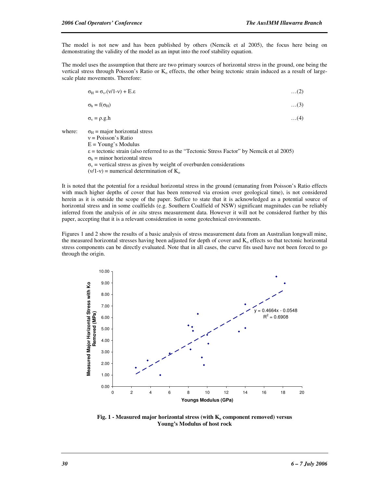The model is not new and has been published by others (Nemcik et al 2005), the focus here being on demonstrating the validity of the model as an input into the roof stability equation.

The model uses the assumption that there are two primary sources of horizontal stress in the ground, one being the vertical stress through Poisson's Ratio or  $K_0$  effects, the other being tectonic strain induced as a result of largescale plate movements. Therefore:

| $\sigma_{\text{H}} = \sigma_{\text{v}}(v/1-v) + E.\epsilon$ | $\dots(2)$ |
|-------------------------------------------------------------|------------|
| $\sigma_{\rm h} = f(\sigma_{\rm H})$                        | $\dots(3)$ |
| $\sigma_v = \rho.g.h$                                       | $\dots(4)$ |

where:  $\sigma_H$  = major horizontal stress ν = Poisson's Ratio  $E = Young's Modulus$  $\varepsilon$  = tectonic strain (also referred to as the "Tectonic Stress Factor" by Nemcik et al 2005)  $\sigma_{h}$  = minor horizontal stress  $\sigma_{v}$  = vertical stress as given by weight of overburden considerations  $(v/1-v)$  = numerical determination of  $K_0$ 

It is noted that the potential for a residual horizontal stress in the ground (emanating from Poisson's Ratio effects with much higher depths of cover that has been removed via erosion over geological time), is not considered herein as it is outside the scope of the paper. Suffice to state that it is acknowledged as a potential source of horizontal stress and in some coalfields (e.g. Southern Coalfield of NSW) significant magnitudes can be reliably inferred from the analysis of *in situ* stress measurement data. However it will not be considered further by this paper, accepting that it is a relevant consideration in some geotechnical environments.

Figures 1 and 2 show the results of a basic analysis of stress measurement data from an Australian longwall mine, the measured horizontal stresses having been adjusted for depth of cover and  $K_0$  effects so that tectonic horizontal stress components can be directly evaluated. Note that in all cases, the curve fits used have not been forced to go through the origin.



**Fig. 1 - Measured major horizontal stress (with Ko component removed) versus Young's Modulus of host rock**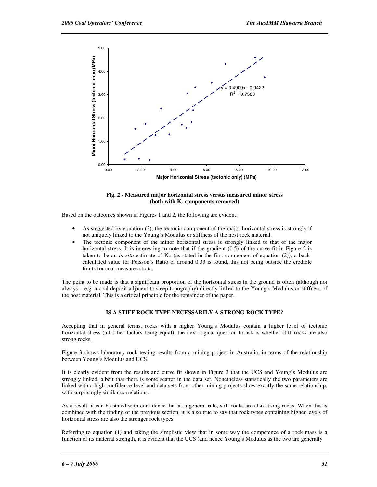

#### **Fig. 2 - Measured major horizontal stress versus measured minor stress (both with Ko components removed)**

Based on the outcomes shown in Figures 1 and 2, the following are evident:

- As suggested by equation (2), the tectonic component of the major horizontal stress is strongly if not uniquely linked to the Young's Modulus or stiffness of the host rock material.
- The tectonic component of the minor horizontal stress is strongly linked to that of the major horizontal stress. It is interesting to note that if the gradient (0.5) of the curve fit in Figure 2 is taken to be an *in situ* estimate of Ko (as stated in the first component of equation (2)), a backcalculated value for Poisson's Ratio of around 0.33 is found, this not being outside the credible limits for coal measures strata.

The point to be made is that a significant proportion of the horizontal stress in the ground is often (although not always – e.g. a coal deposit adjacent to steep topography) directly linked to the Young's Modulus or stiffness of the host material. This is a critical principle for the remainder of the paper.

## **IS A STIFF ROCK TYPE NECESSARILY A STRONG ROCK TYPE?**

Accepting that in general terms, rocks with a higher Young's Modulus contain a higher level of tectonic horizontal stress (all other factors being equal), the next logical question to ask is whether stiff rocks are also strong rocks.

Figure 3 shows laboratory rock testing results from a mining project in Australia, in terms of the relationship between Young's Modulus and UCS.

It is clearly evident from the results and curve fit shown in Figure 3 that the UCS and Young's Modulus are strongly linked, albeit that there is some scatter in the data set. Nonetheless statistically the two parameters are linked with a high confidence level and data sets from other mining projects show exactly the same relationship, with surprisingly similar correlations.

As a result, it can be stated with confidence that as a general rule, stiff rocks are also strong rocks. When this is combined with the finding of the previous section, it is also true to say that rock types containing higher levels of horizontal stress are also the stronger rock types.

Referring to equation (1) and taking the simplistic view that in some way the competence of a rock mass is a function of its material strength, it is evident that the UCS (and hence Young's Modulus as the two are generally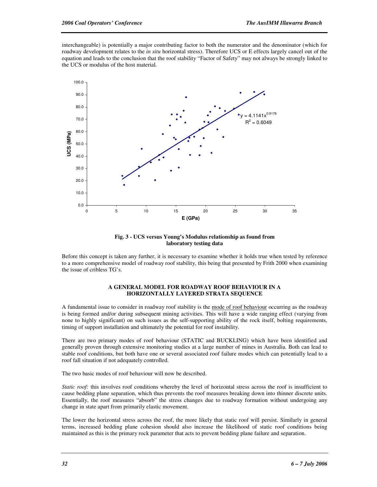interchangeable) is potentially a major contributing factor to both the numerator and the denominator (which for roadway development relates to the *in situ* horizontal stress). Therefore UCS or E effects largely cancel out of the equation and leads to the conclusion that the roof stability "Factor of Safety" may not always be strongly linked to the UCS or modulus of the host material.



**Fig. 3 - UCS versus Young's Modulus relationship as found from laboratory testing data** 

Before this concept is taken any further, it is necessary to examine whether it holds true when tested by reference to a more comprehensive model of roadway roof stability, this being that presented by Frith 2000 when examining the issue of cribless TG's.

#### **A GENERAL MODEL FOR ROADWAY ROOF BEHAVIOUR IN A HORIZONTALLY LAYERED STRATA SEQUENCE**

A fundamental issue to consider in roadway roof stability is the mode of roof behaviour occurring as the roadway is being formed and/or during subsequent mining activities. This will have a wide ranging effect (varying from none to highly significant) on such issues as the self-supporting ability of the rock itself, bolting requirements, timing of support installation and ultimately the potential for roof instability.

There are two primary modes of roof behaviour (STATIC and BUCKLING) which have been identified and generally proven through extensive monitoring studies at a large number of mines in Australia. Both can lead to stable roof conditions, but both have one or several associated roof failure modes which can potentially lead to a roof fall situation if not adequately controlled.

The two basic modes of roof behaviour will now be described.

*Static roof:* this involves roof conditions whereby the level of horizontal stress across the roof is insufficient to cause bedding plane separation, which thus prevents the roof measures breaking down into thinner discrete units. Essentially, the roof measures "absorb" the stress changes due to roadway formation without undergoing any change in state apart from primarily elastic movement.

The lower the horizontal stress across the roof, the more likely that static roof will persist. Similarly in general terms, increased bedding plane cohesion should also increase the likelihood of static roof conditions being maintained as this is the primary rock parameter that acts to prevent bedding plane failure and separation.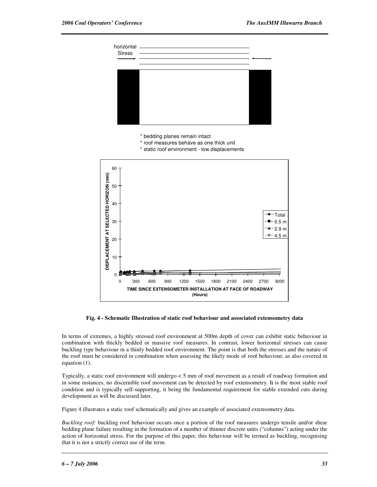

**Fig. 4 - Schematic Illustration of static roof behaviour and associated extensometry data** 

In terms of extremes, a highly stressed roof environment at 500m depth of cover can exhibit static behaviour in combination with thickly bedded or massive roof measures. In contrast, lower horizontal stresses can cause buckling type behaviour in a thinly bedded roof environment. The point is that both the stresses and the nature of the roof must be considered in combination when assessing the likely mode of roof behaviour, as also covered in equation (1).

Typically, a static roof environment will undergo < 5 mm of roof movement as a result of roadway formation and in some instances, no discernible roof movement can be detected by roof extensometry. It is the most stable roof condition and is typically self-supporting, it being the fundamental requirement for stable extended cuts during development as will be discussed later.

Figure 4 illustrates a static roof schematically and gives an example of associated extensometry data.

*Buckling roof:* buckling roof behaviour occurs once a portion of the roof measures undergo tensile and/or shear bedding plane failure resulting in the formation of a number of thinner discrete units ("columns") acting under the action of horizontal stress. For the purpose of this paper, this behaviour will be termed as buckling, recognising that it is not a strictly correct use of the term.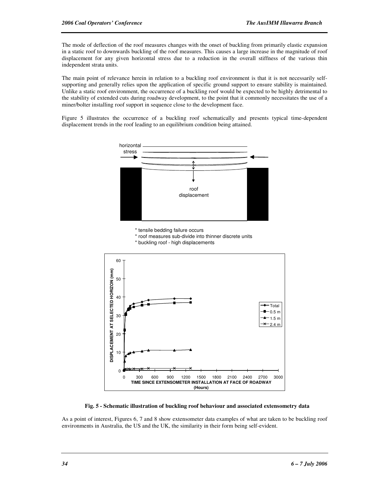The mode of deflection of the roof measures changes with the onset of buckling from primarily elastic expansion in a static roof to downwards buckling of the roof measures. This causes a large increase in the magnitude of roof displacement for any given horizontal stress due to a reduction in the overall stiffness of the various thin independent strata units.

The main point of relevance herein in relation to a buckling roof environment is that it is not necessarily selfsupporting and generally relies upon the application of specific ground support to ensure stability is maintained. Unlike a static roof environment, the occurrence of a buckling roof would be expected to be highly detrimental to the stability of extended cuts during roadway development, to the point that it commonly necessitates the use of a miner/bolter installing roof support in sequence close to the development face.

Figure 5 illustrates the occurrence of a buckling roof schematically and presents typical time-dependent displacement trends in the roof leading to an equilibrium condition being attained.



**Fig. 5 - Schematic illustration of buckling roof behaviour and associated extensometry data** 

**(Hours)**

As a point of interest, Figures 6, 7 and 8 show extensometer data examples of what are taken to be buckling roof environments in Australia, the US and the UK, the similarity in their form being self-evident.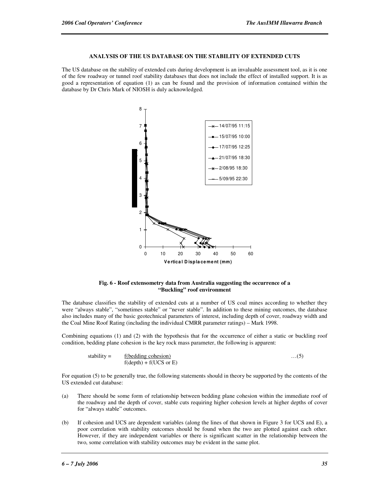# **ANALYSIS OF THE US DATABASE ON THE STABILITY OF EXTENDED CUTS**

The US database on the stability of extended cuts during development is an invaluable assessment tool, as it is one of the few roadway or tunnel roof stability databases that does not include the effect of installed support. It is as good a representation of equation (1) as can be found and the provision of information contained within the database by Dr Chris Mark of NIOSH is duly acknowledged.



#### **Fig. 6 - Roof extensometry data from Australia suggesting the occurrence of a "Buckling" roof environment**

The database classifies the stability of extended cuts at a number of US coal mines according to whether they were "always stable", "sometimes stable" or "never stable". In addition to these mining outcomes, the database also includes many of the basic geotechnical parameters of interest, including depth of cover, roadway width and the Coal Mine Roof Rating (including the individual CMRR parameter ratings) – Mark 1998.

Combining equations (1) and (2) with the hypothesis that for the occurrence of either a static or buckling roof condition, bedding plane cohesion is the key rock mass parameter, the following is apparent:

$$
stability = \frac{f(bedding \text{ cohesion})}{f(depth) + f(UCS \text{ or } E)} \tag{5}
$$

For equation (5) to be generally true, the following statements should in theory be supported by the contents of the US extended cut database:

- (a) There should be some form of relationship between bedding plane cohesion within the immediate roof of the roadway and the depth of cover, stable cuts requiring higher cohesion levels at higher depths of cover for "always stable" outcomes.
- (b) If cohesion and UCS are dependent variables (along the lines of that shown in Figure 3 for UCS and E), a poor correlation with stability outcomes should be found when the two are plotted against each other. However, if they are independent variables or there is significant scatter in the relationship between the two, some correlation with stability outcomes may be evident in the same plot.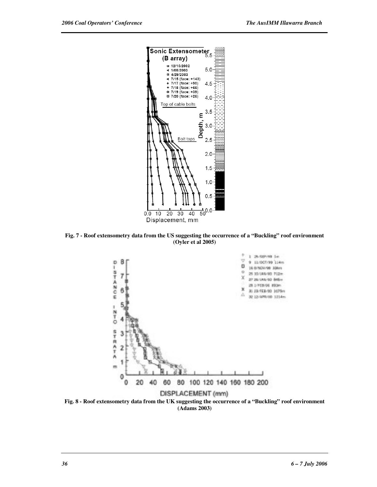

**Fig. 7 - Roof extensometry data from the US suggesting the occurrence of a "Buckling" roof environment (Oyler et al 2005)** 



**Fig. 8 - Roof extensometry data from the UK suggesting the occurrence of a "Buckling" roof environment (Adams 2003)**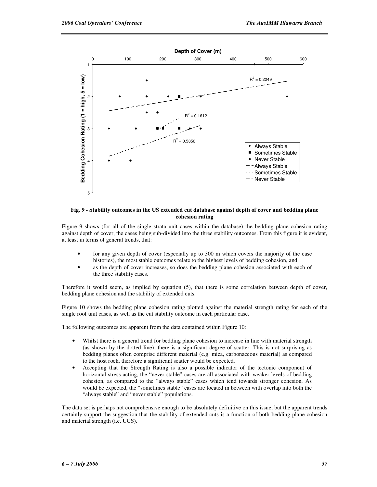

#### **Fig. 9 - Stability outcomes in the US extended cut database against depth of cover and bedding plane cohesion rating**

Figure 9 shows (for all of the single strata unit cases within the database) the bedding plane cohesion rating against depth of cover, the cases being sub-divided into the three stability outcomes. From this figure it is evident, at least in terms of general trends, that:

- for any given depth of cover (especially up to 300 m which covers the majority of the case histories), the most stable outcomes relate to the highest levels of bedding cohesion, and
- as the depth of cover increases, so does the bedding plane cohesion associated with each of the three stability cases.

Therefore it would seem, as implied by equation (5), that there is some correlation between depth of cover, bedding plane cohesion and the stability of extended cuts.

Figure 10 shows the bedding plane cohesion rating plotted against the material strength rating for each of the single roof unit cases, as well as the cut stability outcome in each particular case.

The following outcomes are apparent from the data contained within Figure 10:

- Whilst there is a general trend for bedding plane cohesion to increase in line with material strength (as shown by the dotted line), there is a significant degree of scatter. This is not surprising as bedding planes often comprise different material (e.g. mica, carbonaceous material) as compared to the host rock, therefore a significant scatter would be expected.
- Accepting that the Strength Rating is also a possible indicator of the tectonic component of horizontal stress acting, the "never stable" cases are all associated with weaker levels of bedding cohesion, as compared to the "always stable" cases which tend towards stronger cohesion. As would be expected, the "sometimes stable" cases are located in between with overlap into both the "always stable" and "never stable" populations.

The data set is perhaps not comprehensive enough to be absolutely definitive on this issue, but the apparent trends certainly support the suggestion that the stability of extended cuts is a function of both bedding plane cohesion and material strength (i.e. UCS).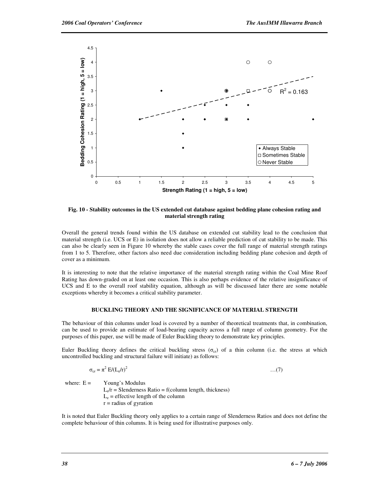

**Fig. 10 - Stability outcomes in the US extended cut database against bedding plane cohesion rating and material strength rating** 

Overall the general trends found within the US database on extended cut stability lead to the conclusion that material strength (i.e. UCS or E) in isolation does not allow a reliable prediction of cut stability to be made. This can also be clearly seen in Figure 10 whereby the stable cases cover the full range of material strength ratings from 1 to 5. Therefore, other factors also need due consideration including bedding plane cohesion and depth of cover as a minimum.

It is interesting to note that the relative importance of the material strength rating within the Coal Mine Roof Rating has down-graded on at least one occasion. This is also perhaps evidence of the relative insignificance of UCS and E to the overall roof stability equation, although as will be discussed later there are some notable exceptions whereby it becomes a critical stability parameter.

#### **BUCKLING THEORY AND THE SIGNIFICANCE OF MATERIAL STRENGTH**

The behaviour of thin columns under load is covered by a number of theoretical treatments that, in combination, can be used to provide an estimate of load-bearing capacity across a full range of column geometry. For the purposes of this paper, use will be made of Euler Buckling theory to demonstrate key principles.

Euler Buckling theory defines the critical buckling stress ( $\sigma_{cr}$ ) of a thin column (i.e. the stress at which uncontrolled buckling and structural failure will initiate) as follows:

$$
\sigma_{cr} = \pi^2 E / (L_e / r)^2 \tag{7}
$$

where:  $E =$  Young's Modulus

 $L_e/r$  = Slenderness Ratio = f(column length, thickness)  $L_e$  = effective length of the column  $r =$  radius of gyration

It is noted that Euler Buckling theory only applies to a certain range of Slenderness Ratios and does not define the complete behaviour of thin columns. It is being used for illustrative purposes only.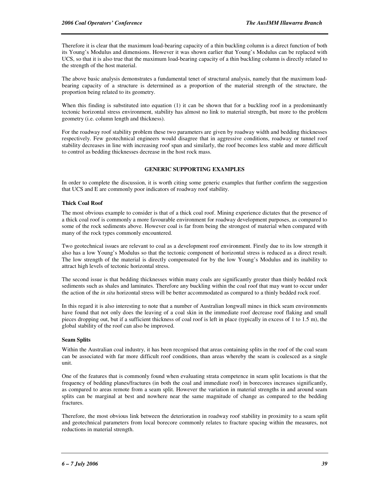Therefore it is clear that the maximum load-bearing capacity of a thin buckling column is a direct function of both its Young's Modulus and dimensions. However it was shown earlier that Young's Modulus can be replaced with UCS, so that it is also true that the maximum load-bearing capacity of a thin buckling column is directly related to the strength of the host material.

The above basic analysis demonstrates a fundamental tenet of structural analysis, namely that the maximum loadbearing capacity of a structure is determined as a proportion of the material strength of the structure, the proportion being related to its geometry.

When this finding is substituted into equation (1) it can be shown that for a buckling roof in a predominantly tectonic horizontal stress environment, stability has almost no link to material strength, but more to the problem geometry (i.e. column length and thickness).

For the roadway roof stability problem these two parameters are given by roadway width and bedding thicknesses respectively. Few geotechnical engineers would disagree that in aggressive conditions, roadway or tunnel roof stability decreases in line with increasing roof span and similarly, the roof becomes less stable and more difficult to control as bedding thicknesses decrease in the host rock mass.

### **GENERIC SUPPORTING EXAMPLES**

In order to complete the discussion, it is worth citing some generic examples that further confirm the suggestion that UCS and E are commonly poor indicators of roadway roof stability.

#### **Thick Coal Roof**

The most obvious example to consider is that of a thick coal roof. Mining experience dictates that the presence of a thick coal roof is commonly a more favourable environment for roadway development purposes, as compared to some of the rock sediments above. However coal is far from being the strongest of material when compared with many of the rock types commonly encountered.

Two geotechnical issues are relevant to coal as a development roof environment. Firstly due to its low strength it also has a low Young's Modulus so that the tectonic component of horizontal stress is reduced as a direct result. The low strength of the material is directly compensated for by the low Young's Modulus and its inability to attract high levels of tectonic horizontal stress.

The second issue is that bedding thicknesses within many coals are significantly greater than thinly bedded rock sediments such as shales and laminates. Therefore any buckling within the coal roof that may want to occur under the action of the *in situ* horizontal stress will be better accommodated as compared to a thinly bedded rock roof.

In this regard it is also interesting to note that a number of Australian longwall mines in thick seam environments have found that not only does the leaving of a coal skin in the immediate roof decrease roof flaking and small pieces dropping out, but if a sufficient thickness of coal roof is left in place (typically in excess of 1 to 1.5 m), the global stability of the roof can also be improved.

#### **Seam Splits**

Within the Australian coal industry, it has been recognised that areas containing splits in the roof of the coal seam can be associated with far more difficult roof conditions, than areas whereby the seam is coalesced as a single unit.

One of the features that is commonly found when evaluating strata competence in seam split locations is that the frequency of bedding planes/fractures (in both the coal and immediate roof) in borecores increases significantly, as compared to areas remote from a seam split. However the variation in material strengths in and around seam splits can be marginal at best and nowhere near the same magnitude of change as compared to the bedding fractures.

Therefore, the most obvious link between the deterioration in roadway roof stability in proximity to a seam split and geotechnical parameters from local borecore commonly relates to fracture spacing within the measures, not reductions in material strength.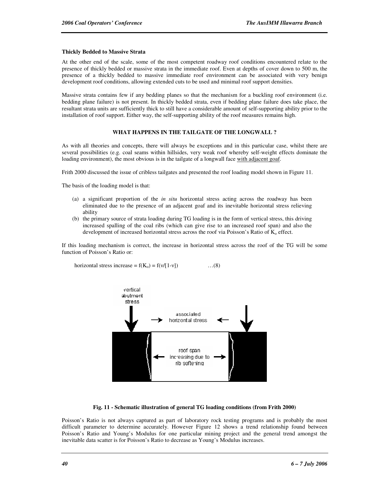#### **Thickly Bedded to Massive Strata**

At the other end of the scale, some of the most competent roadway roof conditions encountered relate to the presence of thickly bedded or massive strata in the immediate roof. Even at depths of cover down to 500 m, the presence of a thickly bedded to massive immediate roof environment can be associated with very benign development roof conditions, allowing extended cuts to be used and minimal roof support densities.

Massive strata contains few if any bedding planes so that the mechanism for a buckling roof environment (i.e. bedding plane failure) is not present. In thickly bedded strata, even if bedding plane failure does take place, the resultant strata units are sufficiently thick to still have a considerable amount of self-supporting ability prior to the installation of roof support. Either way, the self-supporting ability of the roof measures remains high.

#### **WHAT HAPPENS IN THE TAILGATE OF THE LONGWALL ?**

As with all theories and concepts, there will always be exceptions and in this particular case, whilst there are several possibilities (e.g. coal seams within hillsides, very weak roof whereby self-weight effects dominate the loading environment), the most obvious is in the tailgate of a longwall face with adjacent goaf.

Frith 2000 discussed the issue of cribless tailgates and presented the roof loading model shown in Figure 11.

The basis of the loading model is that:

- (a) a significant proportion of the *in situ* horizontal stress acting across the roadway has been eliminated due to the presence of an adjacent goaf and its inevitable horizontal stress relieving ability
- (b) the primary source of strata loading during TG loading is in the form of vertical stress, this driving increased spalling of the coal ribs (which can give rise to an increased roof span) and also the development of increased horizontal stress across the roof via Poisson's Ratio of  $K_0$  effect.

If this loading mechanism is correct, the increase in horizontal stress across the roof of the TG will be some function of Poisson's Ratio or:

horizontal stress increase = 
$$
f(K_o) = f(v/[1-v])
$$
 ...(8)



#### **Fig. 11 - Schematic illustration of general TG loading conditions (from Frith 2000)**

Poisson's Ratio is not always captured as part of laboratory rock testing programs and is probably the most difficult parameter to determine accurately. However Figure 12 shows a trend relationship found between Poisson's Ratio and Young's Modulus for one particular mining project and the general trend amongst the inevitable data scatter is for Poisson's Ratio to decrease as Young's Modulus increases.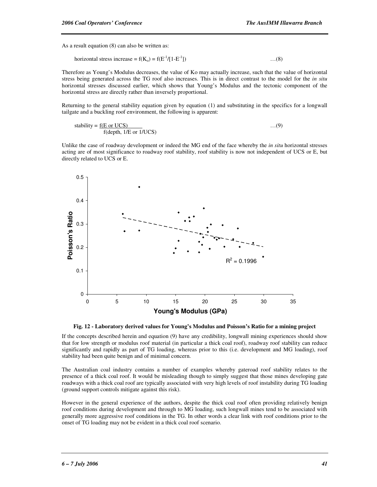As a result equation (8) can also be written as:

horizontal stress increase = 
$$
f(K_0) = f(E^{-1}/[1-E^{-1}])
$$
 ...(8)

Therefore as Young's Modulus decreases, the value of Ko may actually increase, such that the value of horizontal stress being generated across the TG roof also increases. This is in direct contrast to the model for the *in situ* horizontal stresses discussed earlier, which shows that Young's Modulus and the tectonic component of the horizontal stress are directly rather than inversely proportional.

Returning to the general stability equation given by equation (1) and substituting in the specifics for a longwall tailgate and a buckling roof environment, the following is apparent:

stability = 
$$
\frac{f(E \text{ or } UCS)}{f(\text{depth, } 1/E \text{ or } 1/UCS)}
$$
...(9)

Unlike the case of roadway development or indeed the MG end of the face whereby the *in situ* horizontal stresses acting are of most significance to roadway roof stability, roof stability is now not independent of UCS or E, but directly related to UCS or E.





If the concepts described herein and equation (9) have any credibility, longwall mining experiences should show that for low strength or modulus roof material (in particular a thick coal roof), roadway roof stability can reduce significantly and rapidly as part of TG loading, whereas prior to this (i.e. development and MG loading), roof stability had been quite benign and of minimal concern.

The Australian coal industry contains a number of examples whereby gateroad roof stability relates to the presence of a thick coal roof. It would be misleading though to simply suggest that those mines developing gate roadways with a thick coal roof are typically associated with very high levels of roof instability during TG loading (ground support controls mitigate against this risk).

However in the general experience of the authors, despite the thick coal roof often providing relatively benign roof conditions during development and through to MG loading, such longwall mines tend to be associated with generally more aggressive roof conditions in the TG. In other words a clear link with roof conditions prior to the onset of TG loading may not be evident in a thick coal roof scenario.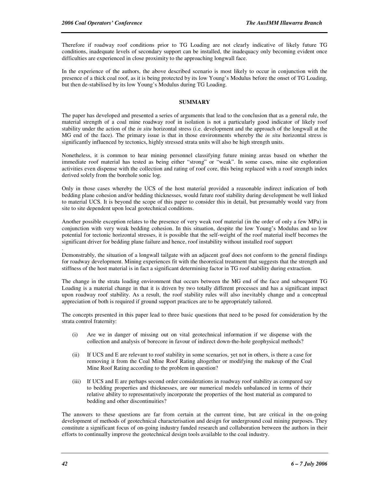Therefore if roadway roof conditions prior to TG Loading are not clearly indicative of likely future TG conditions, inadequate levels of secondary support can be installed, the inadequacy only becoming evident once difficulties are experienced in close proximity to the approaching longwall face.

In the experience of the authors, the above described scenario is most likely to occur in conjunction with the presence of a thick coal roof, as it is being protected by its low Young's Modulus before the onset of TG Loading, but then de-stabilised by its low Young's Modulus during TG Loading.

## **SUMMARY**

The paper has developed and presented a series of arguments that lead to the conclusion that as a general rule, the material strength of a coal mine roadway roof in isolation is not a particularly good indicator of likely roof stability under the action of the *in situ* horizontal stress (i.e. development and the approach of the longwall at the MG end of the face). The primary issue is that in those environments whereby the *in situ* horizontal stress is significantly influenced by tectonics, highly stressed strata units will also be high strength units.

Nonetheless, it is common to hear mining personnel classifying future mining areas based on whether the immediate roof material has tested as being either "strong" or "weak". In some cases, mine site exploration activities even dispense with the collection and rating of roof core, this being replaced with a roof strength index derived solely from the borehole sonic log.

Only in those cases whereby the UCS of the host material provided a reasonable indirect indication of both bedding plane cohesion and/or bedding thicknesses, would future roof stability during development be well linked to material UCS. It is beyond the scope of this paper to consider this in detail, but presumably would vary from site to site dependent upon local geotechnical conditions.

Another possible exception relates to the presence of very weak roof material (in the order of only a few MPa) in conjunction with very weak bedding cohesion. In this situation, despite the low Young's Modulus and so low potential for tectonic horizontal stresses, it is possible that the self-weight of the roof material itself becomes the significant driver for bedding plane failure and hence, roof instability without installed roof support

. Demonstrably, the situation of a longwall tailgate with an adjacent goaf does not conform to the general findings for roadway development. Mining experiences fit with the theoretical treatment that suggests that the strength and stiffness of the host material is in fact a significant determining factor in TG roof stability during extraction.

The change in the strata loading environment that occurs between the MG end of the face and subsequent TG Loading is a material change in that it is driven by two totally different processes and has a significant impact upon roadway roof stability. As a result, the roof stability rules will also inevitably change and a conceptual appreciation of both is required if ground support practices are to be appropriately tailored.

The concepts presented in this paper lead to three basic questions that need to be posed for consideration by the strata control fraternity:

- (i) Are we in danger of missing out on vital geotechnical information if we dispense with the collection and analysis of borecore in favour of indirect down-the-hole geophysical methods?
- (ii) If UCS and E are relevant to roof stability in some scenarios, yet not in others, is there a case for removing it from the Coal Mine Roof Rating altogether or modifying the makeup of the Coal Mine Roof Rating according to the problem in question?
- (iii) If UCS and E are perhaps second order considerations in roadway roof stability as compared say to bedding properties and thicknesses, are our numerical models unbalanced in terms of their relative ability to representatively incorporate the properties of the host material as compared to bedding and other discontinuities?

The answers to these questions are far from certain at the current time, but are critical in the on-going development of methods of geotechnical characterisation and design for underground coal mining purposes. They constitute a significant focus of on-going industry funded research and collaboration between the authors in their efforts to continually improve the geotechnical design tools available to the coal industry.